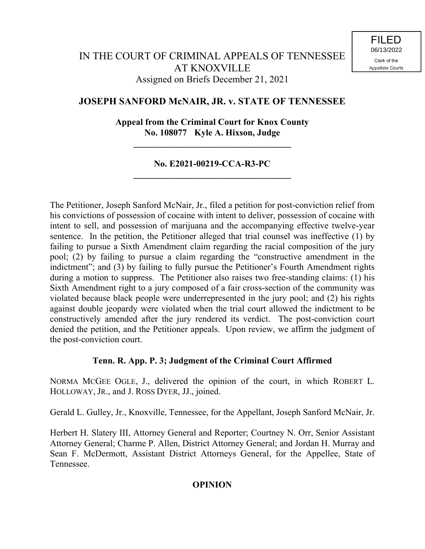## **JOSEPH SANFORD McNAIR, JR. v. STATE OF TENNESSEE**

## **Appeal from the Criminal Court for Knox County No. 108077 Kyle A. Hixson, Judge**

**\_\_\_\_\_\_\_\_\_\_\_\_\_\_\_\_\_\_\_\_\_\_\_\_\_\_\_\_\_\_\_\_\_\_\_**

#### **No. E2021-00219-CCA-R3-PC \_\_\_\_\_\_\_\_\_\_\_\_\_\_\_\_\_\_\_\_\_\_\_\_\_\_\_\_\_\_\_\_\_\_\_**

The Petitioner, Joseph Sanford McNair, Jr., filed a petition for post-conviction relief from his convictions of possession of cocaine with intent to deliver, possession of cocaine with intent to sell, and possession of marijuana and the accompanying effective twelve-year sentence. In the petition, the Petitioner alleged that trial counsel was ineffective (1) by failing to pursue a Sixth Amendment claim regarding the racial composition of the jury pool; (2) by failing to pursue a claim regarding the "constructive amendment in the indictment"; and (3) by failing to fully pursue the Petitioner's Fourth Amendment rights during a motion to suppress. The Petitioner also raises two free-standing claims: (1) his Sixth Amendment right to a jury composed of a fair cross-section of the community was violated because black people were underrepresented in the jury pool; and (2) his rights against double jeopardy were violated when the trial court allowed the indictment to be constructively amended after the jury rendered its verdict. The post-conviction court denied the petition, and the Petitioner appeals. Upon review, we affirm the judgment of the post-conviction court.

#### **Tenn. R. App. P. 3; Judgment of the Criminal Court Affirmed**

NORMA MCGEE OGLE, J., delivered the opinion of the court, in which ROBERT L. HOLLOWAY, JR., and J. ROSS DYER, JJ., joined.

Gerald L. Gulley, Jr., Knoxville, Tennessee, for the Appellant, Joseph Sanford McNair, Jr.

Herbert H. Slatery III, Attorney General and Reporter; Courtney N. Orr, Senior Assistant Attorney General; Charme P. Allen, District Attorney General; and Jordan H. Murray and Sean F. McDermott, Assistant District Attorneys General, for the Appellee, State of Tennessee.

### **OPINION**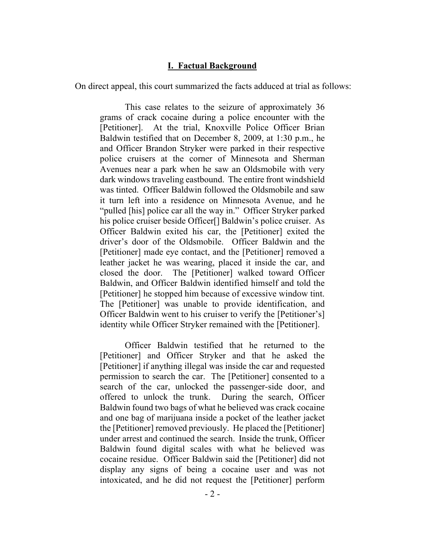#### **I. Factual Background**

On direct appeal, this court summarized the facts adduced at trial as follows:

This case relates to the seizure of approximately 36 grams of crack cocaine during a police encounter with the [Petitioner]. At the trial, Knoxville Police Officer Brian Baldwin testified that on December 8, 2009, at 1:30 p.m., he and Officer Brandon Stryker were parked in their respective police cruisers at the corner of Minnesota and Sherman Avenues near a park when he saw an Oldsmobile with very dark windows traveling eastbound. The entire front windshield was tinted. Officer Baldwin followed the Oldsmobile and saw it turn left into a residence on Minnesota Avenue, and he "pulled [his] police car all the way in." Officer Stryker parked his police cruiser beside Officer<sup>[]</sup> Baldwin's police cruiser. As Officer Baldwin exited his car, the [Petitioner] exited the driver's door of the Oldsmobile. Officer Baldwin and the [Petitioner] made eye contact, and the [Petitioner] removed a leather jacket he was wearing, placed it inside the car, and closed the door. The [Petitioner] walked toward Officer Baldwin, and Officer Baldwin identified himself and told the [Petitioner] he stopped him because of excessive window tint. The [Petitioner] was unable to provide identification, and Officer Baldwin went to his cruiser to verify the [Petitioner's] identity while Officer Stryker remained with the [Petitioner].

Officer Baldwin testified that he returned to the [Petitioner] and Officer Stryker and that he asked the [Petitioner] if anything illegal was inside the car and requested permission to search the car. The [Petitioner] consented to a search of the car, unlocked the passenger-side door, and offered to unlock the trunk. During the search, Officer Baldwin found two bags of what he believed was crack cocaine and one bag of marijuana inside a pocket of the leather jacket the [Petitioner] removed previously. He placed the [Petitioner] under arrest and continued the search. Inside the trunk, Officer Baldwin found digital scales with what he believed was cocaine residue. Officer Baldwin said the [Petitioner] did not display any signs of being a cocaine user and was not intoxicated, and he did not request the [Petitioner] perform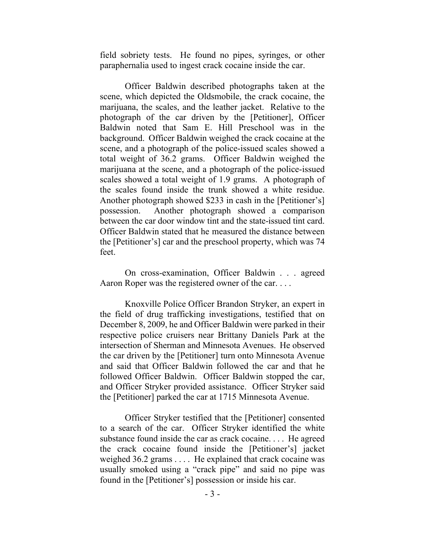field sobriety tests. He found no pipes, syringes, or other paraphernalia used to ingest crack cocaine inside the car.

Officer Baldwin described photographs taken at the scene, which depicted the Oldsmobile, the crack cocaine, the marijuana, the scales, and the leather jacket. Relative to the photograph of the car driven by the [Petitioner], Officer Baldwin noted that Sam E. Hill Preschool was in the background. Officer Baldwin weighed the crack cocaine at the scene, and a photograph of the police-issued scales showed a total weight of 36.2 grams. Officer Baldwin weighed the marijuana at the scene, and a photograph of the police-issued scales showed a total weight of 1.9 grams. A photograph of the scales found inside the trunk showed a white residue. Another photograph showed \$233 in cash in the [Petitioner's] possession. Another photograph showed a comparison between the car door window tint and the state-issued tint card. Officer Baldwin stated that he measured the distance between the [Petitioner's] car and the preschool property, which was 74 feet.

On cross-examination, Officer Baldwin . . . agreed Aaron Roper was the registered owner of the car. . . .

Knoxville Police Officer Brandon Stryker, an expert in the field of drug trafficking investigations, testified that on December 8, 2009, he and Officer Baldwin were parked in their respective police cruisers near Brittany Daniels Park at the intersection of Sherman and Minnesota Avenues. He observed the car driven by the [Petitioner] turn onto Minnesota Avenue and said that Officer Baldwin followed the car and that he followed Officer Baldwin. Officer Baldwin stopped the car, and Officer Stryker provided assistance. Officer Stryker said the [Petitioner] parked the car at 1715 Minnesota Avenue.

Officer Stryker testified that the [Petitioner] consented to a search of the car. Officer Stryker identified the white substance found inside the car as crack cocaine. . . . He agreed the crack cocaine found inside the [Petitioner's] jacket weighed 36.2 grams . . . . He explained that crack cocaine was usually smoked using a "crack pipe" and said no pipe was found in the [Petitioner's] possession or inside his car.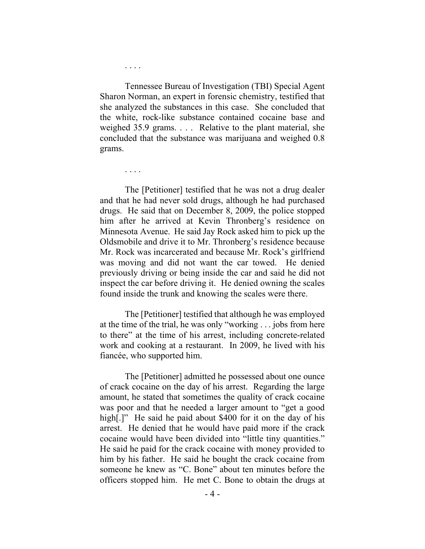Tennessee Bureau of Investigation (TBI) Special Agent Sharon Norman, an expert in forensic chemistry, testified that she analyzed the substances in this case. She concluded that the white, rock-like substance contained cocaine base and weighed 35.9 grams. . . . Relative to the plant material, she concluded that the substance was marijuana and weighed 0.8 grams.

. . . .

. . . .

The [Petitioner] testified that he was not a drug dealer and that he had never sold drugs, although he had purchased drugs. He said that on December 8, 2009, the police stopped him after he arrived at Kevin Thronberg's residence on Minnesota Avenue. He said Jay Rock asked him to pick up the Oldsmobile and drive it to Mr. Thronberg's residence because Mr. Rock was incarcerated and because Mr. Rock's girlfriend was moving and did not want the car towed. He denied previously driving or being inside the car and said he did not inspect the car before driving it. He denied owning the scales found inside the trunk and knowing the scales were there.

The [Petitioner] testified that although he was employed at the time of the trial, he was only "working . . . jobs from here to there" at the time of his arrest, including concrete-related work and cooking at a restaurant. In 2009, he lived with his fiancée, who supported him.

The [Petitioner] admitted he possessed about one ounce of crack cocaine on the day of his arrest. Regarding the large amount, he stated that sometimes the quality of crack cocaine was poor and that he needed a larger amount to "get a good high.]" He said he paid about \$400 for it on the day of his arrest. He denied that he would have paid more if the crack cocaine would have been divided into "little tiny quantities." He said he paid for the crack cocaine with money provided to him by his father. He said he bought the crack cocaine from someone he knew as "C. Bone" about ten minutes before the officers stopped him. He met C. Bone to obtain the drugs at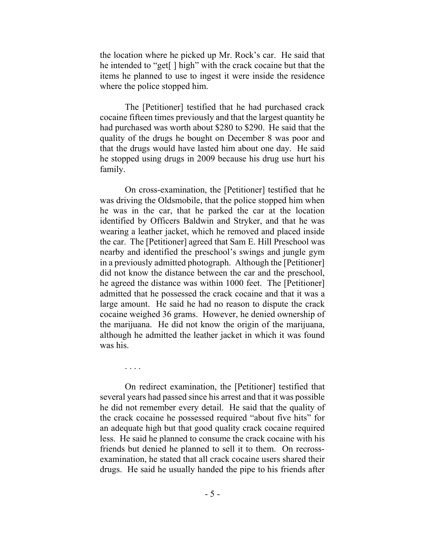the location where he picked up Mr. Rock's car. He said that he intended to "get[ ] high" with the crack cocaine but that the items he planned to use to ingest it were inside the residence where the police stopped him.

The [Petitioner] testified that he had purchased crack cocaine fifteen times previously and that the largest quantity he had purchased was worth about \$280 to \$290. He said that the quality of the drugs he bought on December 8 was poor and that the drugs would have lasted him about one day. He said he stopped using drugs in 2009 because his drug use hurt his family.

On cross-examination, the [Petitioner] testified that he was driving the Oldsmobile, that the police stopped him when he was in the car, that he parked the car at the location identified by Officers Baldwin and Stryker, and that he was wearing a leather jacket, which he removed and placed inside the car. The [Petitioner] agreed that Sam E. Hill Preschool was nearby and identified the preschool's swings and jungle gym in a previously admitted photograph. Although the [Petitioner] did not know the distance between the car and the preschool, he agreed the distance was within 1000 feet. The [Petitioner] admitted that he possessed the crack cocaine and that it was a large amount. He said he had no reason to dispute the crack cocaine weighed 36 grams. However, he denied ownership of the marijuana. He did not know the origin of the marijuana, although he admitted the leather jacket in which it was found was his.

. . . .

On redirect examination, the [Petitioner] testified that several years had passed since his arrest and that it was possible he did not remember every detail. He said that the quality of the crack cocaine he possessed required "about five hits" for an adequate high but that good quality crack cocaine required less. He said he planned to consume the crack cocaine with his friends but denied he planned to sell it to them. On recrossexamination, he stated that all crack cocaine users shared their drugs. He said he usually handed the pipe to his friends after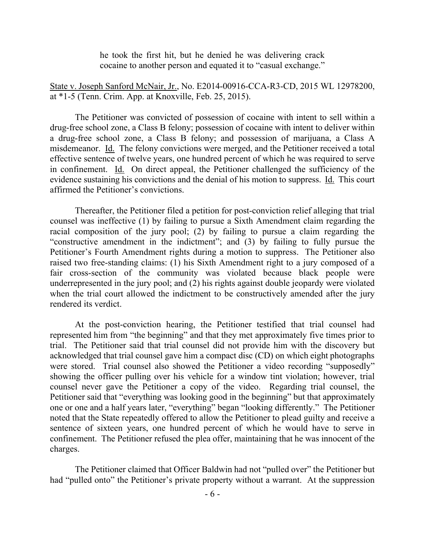he took the first hit, but he denied he was delivering crack cocaine to another person and equated it to "casual exchange."

State v. Joseph Sanford McNair, Jr., No. E2014-00916-CCA-R3-CD, 2015 WL 12978200, at \*1-5 (Tenn. Crim. App. at Knoxville, Feb. 25, 2015).

The Petitioner was convicted of possession of cocaine with intent to sell within a drug-free school zone, a Class B felony; possession of cocaine with intent to deliver within a drug-free school zone, a Class B felony; and possession of marijuana, a Class A misdemeanor. Id. The felony convictions were merged, and the Petitioner received a total effective sentence of twelve years, one hundred percent of which he was required to serve in confinement. Id. On direct appeal, the Petitioner challenged the sufficiency of the evidence sustaining his convictions and the denial of his motion to suppress. Id. This court affirmed the Petitioner's convictions.

Thereafter, the Petitioner filed a petition for post-conviction relief alleging that trial counsel was ineffective (1) by failing to pursue a Sixth Amendment claim regarding the racial composition of the jury pool; (2) by failing to pursue a claim regarding the "constructive amendment in the indictment"; and (3) by failing to fully pursue the Petitioner's Fourth Amendment rights during a motion to suppress. The Petitioner also raised two free-standing claims: (1) his Sixth Amendment right to a jury composed of a fair cross-section of the community was violated because black people were underrepresented in the jury pool; and (2) his rights against double jeopardy were violated when the trial court allowed the indictment to be constructively amended after the jury rendered its verdict.

At the post-conviction hearing, the Petitioner testified that trial counsel had represented him from "the beginning" and that they met approximately five times prior to trial. The Petitioner said that trial counsel did not provide him with the discovery but acknowledged that trial counsel gave him a compact disc (CD) on which eight photographs were stored. Trial counsel also showed the Petitioner a video recording "supposedly" showing the officer pulling over his vehicle for a window tint violation; however, trial counsel never gave the Petitioner a copy of the video. Regarding trial counsel, the Petitioner said that "everything was looking good in the beginning" but that approximately one or one and a half years later, "everything" began "looking differently." The Petitioner noted that the State repeatedly offered to allow the Petitioner to plead guilty and receive a sentence of sixteen years, one hundred percent of which he would have to serve in confinement. The Petitioner refused the plea offer, maintaining that he was innocent of the charges.

The Petitioner claimed that Officer Baldwin had not "pulled over" the Petitioner but had "pulled onto" the Petitioner's private property without a warrant. At the suppression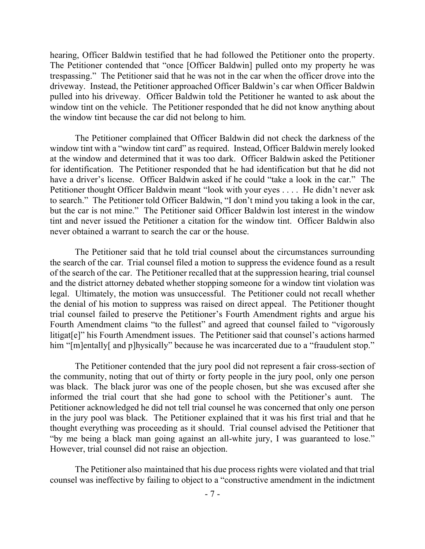hearing, Officer Baldwin testified that he had followed the Petitioner onto the property. The Petitioner contended that "once [Officer Baldwin] pulled onto my property he was trespassing." The Petitioner said that he was not in the car when the officer drove into the driveway. Instead, the Petitioner approached Officer Baldwin's car when Officer Baldwin pulled into his driveway. Officer Baldwin told the Petitioner he wanted to ask about the window tint on the vehicle. The Petitioner responded that he did not know anything about the window tint because the car did not belong to him.

The Petitioner complained that Officer Baldwin did not check the darkness of the window tint with a "window tint card" as required. Instead, Officer Baldwin merely looked at the window and determined that it was too dark. Officer Baldwin asked the Petitioner for identification. The Petitioner responded that he had identification but that he did not have a driver's license. Officer Baldwin asked if he could "take a look in the car." The Petitioner thought Officer Baldwin meant "look with your eyes . . . . He didn't never ask to search." The Petitioner told Officer Baldwin, "I don't mind you taking a look in the car, but the car is not mine." The Petitioner said Officer Baldwin lost interest in the window tint and never issued the Petitioner a citation for the window tint. Officer Baldwin also never obtained a warrant to search the car or the house.

The Petitioner said that he told trial counsel about the circumstances surrounding the search of the car. Trial counsel filed a motion to suppress the evidence found as a result of the search of the car. The Petitioner recalled that at the suppression hearing, trial counsel and the district attorney debated whether stopping someone for a window tint violation was legal. Ultimately, the motion was unsuccessful. The Petitioner could not recall whether the denial of his motion to suppress was raised on direct appeal. The Petitioner thought trial counsel failed to preserve the Petitioner's Fourth Amendment rights and argue his Fourth Amendment claims "to the fullest" and agreed that counsel failed to "vigorously litigat[e]" his Fourth Amendment issues. The Petitioner said that counsel's actions harmed him "[m]entally[ and p]hysically" because he was incarcerated due to a "fraudulent stop."

The Petitioner contended that the jury pool did not represent a fair cross-section of the community, noting that out of thirty or forty people in the jury pool, only one person was black. The black juror was one of the people chosen, but she was excused after she informed the trial court that she had gone to school with the Petitioner's aunt. The Petitioner acknowledged he did not tell trial counsel he was concerned that only one person in the jury pool was black. The Petitioner explained that it was his first trial and that he thought everything was proceeding as it should. Trial counsel advised the Petitioner that "by me being a black man going against an all-white jury, I was guaranteed to lose." However, trial counsel did not raise an objection.

The Petitioner also maintained that his due process rights were violated and that trial counsel was ineffective by failing to object to a "constructive amendment in the indictment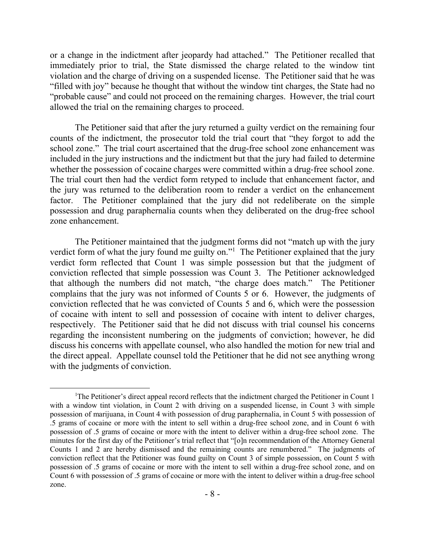or a change in the indictment after jeopardy had attached." The Petitioner recalled that immediately prior to trial, the State dismissed the charge related to the window tint violation and the charge of driving on a suspended license. The Petitioner said that he was "filled with joy" because he thought that without the window tint charges, the State had no "probable cause" and could not proceed on the remaining charges. However, the trial court allowed the trial on the remaining charges to proceed.

The Petitioner said that after the jury returned a guilty verdict on the remaining four counts of the indictment, the prosecutor told the trial court that "they forgot to add the school zone." The trial court ascertained that the drug-free school zone enhancement was included in the jury instructions and the indictment but that the jury had failed to determine whether the possession of cocaine charges were committed within a drug-free school zone. The trial court then had the verdict form retyped to include that enhancement factor, and the jury was returned to the deliberation room to render a verdict on the enhancement factor. The Petitioner complained that the jury did not redeliberate on the simple possession and drug paraphernalia counts when they deliberated on the drug-free school zone enhancement.

The Petitioner maintained that the judgment forms did not "match up with the jury verdict form of what the jury found me guilty on."<sup>1</sup> The Petitioner explained that the jury verdict form reflected that Count 1 was simple possession but that the judgment of conviction reflected that simple possession was Count 3. The Petitioner acknowledged that although the numbers did not match, "the charge does match." The Petitioner complains that the jury was not informed of Counts 5 or 6. However, the judgments of conviction reflected that he was convicted of Counts 5 and 6, which were the possession of cocaine with intent to sell and possession of cocaine with intent to deliver charges, respectively. The Petitioner said that he did not discuss with trial counsel his concerns regarding the inconsistent numbering on the judgments of conviction; however, he did discuss his concerns with appellate counsel, who also handled the motion for new trial and the direct appeal. Appellate counsel told the Petitioner that he did not see anything wrong with the judgments of conviction.

 $\overline{a}$ 

<sup>&</sup>lt;sup>1</sup>The Petitioner's direct appeal record reflects that the indictment charged the Petitioner in Count 1 with a window tint violation, in Count 2 with driving on a suspended license, in Count 3 with simple possession of marijuana, in Count 4 with possession of drug paraphernalia, in Count 5 with possession of .5 grams of cocaine or more with the intent to sell within a drug-free school zone, and in Count 6 with possession of .5 grams of cocaine or more with the intent to deliver within a drug-free school zone. The minutes for the first day of the Petitioner's trial reflect that "[o]n recommendation of the Attorney General Counts 1 and 2 are hereby dismissed and the remaining counts are renumbered." The judgments of conviction reflect that the Petitioner was found guilty on Count 3 of simple possession, on Count 5 with possession of .5 grams of cocaine or more with the intent to sell within a drug-free school zone, and on Count 6 with possession of .5 grams of cocaine or more with the intent to deliver within a drug-free school zone.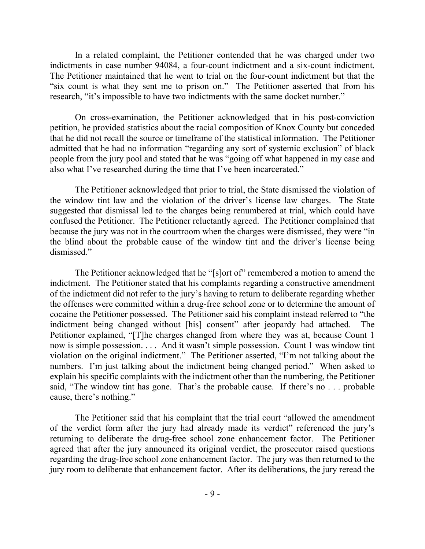In a related complaint, the Petitioner contended that he was charged under two indictments in case number 94084, a four-count indictment and a six-count indictment. The Petitioner maintained that he went to trial on the four-count indictment but that the "six count is what they sent me to prison on." The Petitioner asserted that from his research, "it's impossible to have two indictments with the same docket number."

On cross-examination, the Petitioner acknowledged that in his post-conviction petition, he provided statistics about the racial composition of Knox County but conceded that he did not recall the source or timeframe of the statistical information. The Petitioner admitted that he had no information "regarding any sort of systemic exclusion" of black people from the jury pool and stated that he was "going off what happened in my case and also what I've researched during the time that I've been incarcerated."

The Petitioner acknowledged that prior to trial, the State dismissed the violation of the window tint law and the violation of the driver's license law charges. The State suggested that dismissal led to the charges being renumbered at trial, which could have confused the Petitioner. The Petitioner reluctantly agreed. The Petitioner complained that because the jury was not in the courtroom when the charges were dismissed, they were "in the blind about the probable cause of the window tint and the driver's license being dismissed."

The Petitioner acknowledged that he "[s]ort of" remembered a motion to amend the indictment. The Petitioner stated that his complaints regarding a constructive amendment of the indictment did not refer to the jury's having to return to deliberate regarding whether the offenses were committed within a drug-free school zone or to determine the amount of cocaine the Petitioner possessed. The Petitioner said his complaint instead referred to "the indictment being changed without [his] consent" after jeopardy had attached. The Petitioner explained, "[T]he charges changed from where they was at, because Count 1 now is simple possession. . . . And it wasn't simple possession. Count 1 was window tint violation on the original indictment." The Petitioner asserted, "I'm not talking about the numbers. I'm just talking about the indictment being changed period." When asked to explain his specific complaints with the indictment other than the numbering, the Petitioner said, "The window tint has gone. That's the probable cause. If there's no . . . probable cause, there's nothing."

The Petitioner said that his complaint that the trial court "allowed the amendment of the verdict form after the jury had already made its verdict" referenced the jury's returning to deliberate the drug-free school zone enhancement factor. The Petitioner agreed that after the jury announced its original verdict, the prosecutor raised questions regarding the drug-free school zone enhancement factor. The jury was then returned to the jury room to deliberate that enhancement factor. After its deliberations, the jury reread the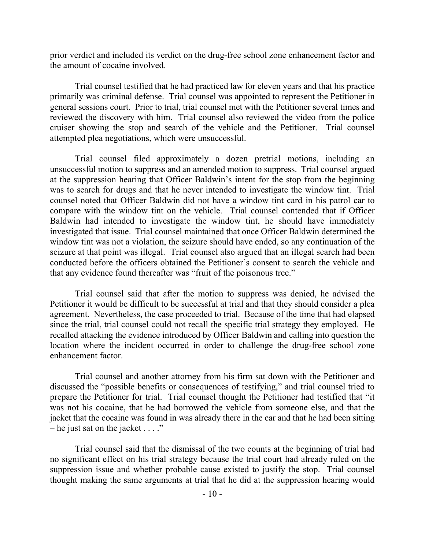prior verdict and included its verdict on the drug-free school zone enhancement factor and the amount of cocaine involved.

Trial counsel testified that he had practiced law for eleven years and that his practice primarily was criminal defense. Trial counsel was appointed to represent the Petitioner in general sessions court. Prior to trial, trial counsel met with the Petitioner several times and reviewed the discovery with him. Trial counsel also reviewed the video from the police cruiser showing the stop and search of the vehicle and the Petitioner. Trial counsel attempted plea negotiations, which were unsuccessful.

Trial counsel filed approximately a dozen pretrial motions, including an unsuccessful motion to suppress and an amended motion to suppress. Trial counsel argued at the suppression hearing that Officer Baldwin's intent for the stop from the beginning was to search for drugs and that he never intended to investigate the window tint. Trial counsel noted that Officer Baldwin did not have a window tint card in his patrol car to compare with the window tint on the vehicle. Trial counsel contended that if Officer Baldwin had intended to investigate the window tint, he should have immediately investigated that issue. Trial counsel maintained that once Officer Baldwin determined the window tint was not a violation, the seizure should have ended, so any continuation of the seizure at that point was illegal. Trial counsel also argued that an illegal search had been conducted before the officers obtained the Petitioner's consent to search the vehicle and that any evidence found thereafter was "fruit of the poisonous tree."

Trial counsel said that after the motion to suppress was denied, he advised the Petitioner it would be difficult to be successful at trial and that they should consider a plea agreement. Nevertheless, the case proceeded to trial. Because of the time that had elapsed since the trial, trial counsel could not recall the specific trial strategy they employed. He recalled attacking the evidence introduced by Officer Baldwin and calling into question the location where the incident occurred in order to challenge the drug-free school zone enhancement factor.

Trial counsel and another attorney from his firm sat down with the Petitioner and discussed the "possible benefits or consequences of testifying," and trial counsel tried to prepare the Petitioner for trial. Trial counsel thought the Petitioner had testified that "it was not his cocaine, that he had borrowed the vehicle from someone else, and that the jacket that the cocaine was found in was already there in the car and that he had been sitting – he just sat on the jacket  $\dots$ ."

Trial counsel said that the dismissal of the two counts at the beginning of trial had no significant effect on his trial strategy because the trial court had already ruled on the suppression issue and whether probable cause existed to justify the stop. Trial counsel thought making the same arguments at trial that he did at the suppression hearing would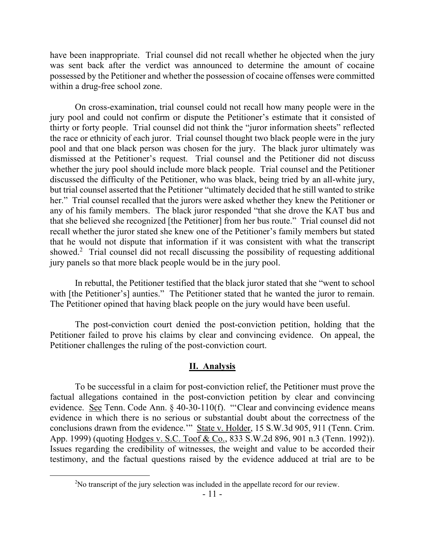have been inappropriate. Trial counsel did not recall whether he objected when the jury was sent back after the verdict was announced to determine the amount of cocaine possessed by the Petitioner and whether the possession of cocaine offenses were committed within a drug-free school zone.

On cross-examination, trial counsel could not recall how many people were in the jury pool and could not confirm or dispute the Petitioner's estimate that it consisted of thirty or forty people. Trial counsel did not think the "juror information sheets" reflected the race or ethnicity of each juror. Trial counsel thought two black people were in the jury pool and that one black person was chosen for the jury. The black juror ultimately was dismissed at the Petitioner's request. Trial counsel and the Petitioner did not discuss whether the jury pool should include more black people. Trial counsel and the Petitioner discussed the difficulty of the Petitioner, who was black, being tried by an all-white jury, but trial counsel asserted that the Petitioner "ultimately decided that he still wanted to strike her." Trial counsel recalled that the jurors were asked whether they knew the Petitioner or any of his family members. The black juror responded "that she drove the KAT bus and that she believed she recognized [the Petitioner] from her bus route." Trial counsel did not recall whether the juror stated she knew one of the Petitioner's family members but stated that he would not dispute that information if it was consistent with what the transcript showed.<sup>2</sup> Trial counsel did not recall discussing the possibility of requesting additional jury panels so that more black people would be in the jury pool.

In rebuttal, the Petitioner testified that the black juror stated that she "went to school with [the Petitioner's] aunties." The Petitioner stated that he wanted the juror to remain. The Petitioner opined that having black people on the jury would have been useful.

The post-conviction court denied the post-conviction petition, holding that the Petitioner failed to prove his claims by clear and convincing evidence. On appeal, the Petitioner challenges the ruling of the post-conviction court.

#### **II. Analysis**

To be successful in a claim for post-conviction relief, the Petitioner must prove the factual allegations contained in the post-conviction petition by clear and convincing evidence. See Tenn. Code Ann. § 40-30-110(f). "'Clear and convincing evidence means evidence in which there is no serious or substantial doubt about the correctness of the conclusions drawn from the evidence.'" State v. Holder, 15 S.W.3d 905, 911 (Tenn. Crim. App. 1999) (quoting Hodges v. S.C. Toof & Co., 833 S.W.2d 896, 901 n.3 (Tenn. 1992)). Issues regarding the credibility of witnesses, the weight and value to be accorded their testimony, and the factual questions raised by the evidence adduced at trial are to be

 $\overline{a}$ 

<sup>&</sup>lt;sup>2</sup>No transcript of the jury selection was included in the appellate record for our review.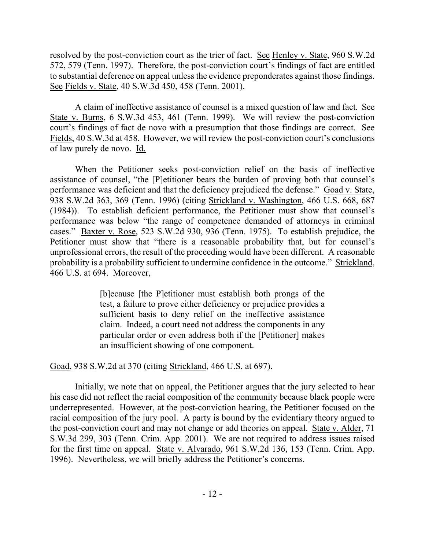resolved by the post-conviction court as the trier of fact. See Henley v. State, 960 S.W.2d 572, 579 (Tenn. 1997). Therefore, the post-conviction court's findings of fact are entitled to substantial deference on appeal unless the evidence preponderates against those findings. See Fields v. State, 40 S.W.3d 450, 458 (Tenn. 2001).

A claim of ineffective assistance of counsel is a mixed question of law and fact. See State v. Burns, 6 S.W.3d 453, 461 (Tenn. 1999). We will review the post-conviction court's findings of fact de novo with a presumption that those findings are correct. See Fields, 40 S.W.3d at 458. However, we will review the post-conviction court's conclusions of law purely de novo. Id.

When the Petitioner seeks post-conviction relief on the basis of ineffective assistance of counsel, "the [P]etitioner bears the burden of proving both that counsel's performance was deficient and that the deficiency prejudiced the defense." Goad v. State, 938 S.W.2d 363, 369 (Tenn. 1996) (citing Strickland v. Washington, 466 U.S. 668, 687 (1984)). To establish deficient performance, the Petitioner must show that counsel's performance was below "the range of competence demanded of attorneys in criminal cases." Baxter v. Rose, 523 S.W.2d 930, 936 (Tenn. 1975). To establish prejudice, the Petitioner must show that "there is a reasonable probability that, but for counsel's unprofessional errors, the result of the proceeding would have been different. A reasonable probability is a probability sufficient to undermine confidence in the outcome." Strickland, 466 U.S. at 694. Moreover,

> [b]ecause [the P]etitioner must establish both prongs of the test, a failure to prove either deficiency or prejudice provides a sufficient basis to deny relief on the ineffective assistance claim. Indeed, a court need not address the components in any particular order or even address both if the [Petitioner] makes an insufficient showing of one component.

Goad, 938 S.W.2d at 370 (citing Strickland, 466 U.S. at 697).

Initially, we note that on appeal, the Petitioner argues that the jury selected to hear his case did not reflect the racial composition of the community because black people were underrepresented. However, at the post-conviction hearing, the Petitioner focused on the racial composition of the jury pool. A party is bound by the evidentiary theory argued to the post-conviction court and may not change or add theories on appeal. State v. Alder, 71 S.W.3d 299, 303 (Tenn. Crim. App. 2001). We are not required to address issues raised for the first time on appeal. State v. Alvarado, 961 S.W.2d 136, 153 (Tenn. Crim. App. 1996). Nevertheless, we will briefly address the Petitioner's concerns.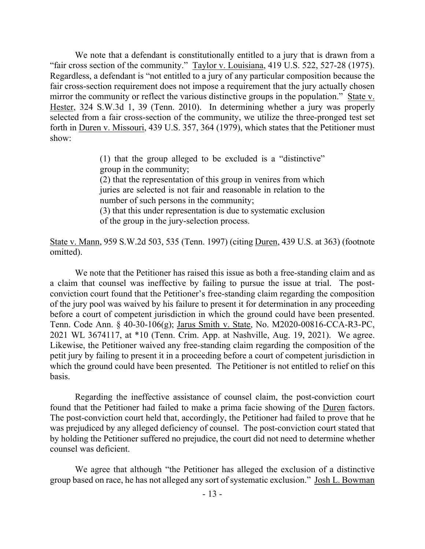We note that a defendant is constitutionally entitled to a jury that is drawn from a "fair cross section of the community." Taylor v. Louisiana, 419 U.S. 522, 527-28 (1975). Regardless, a defendant is "not entitled to a jury of any particular composition because the fair cross-section requirement does not impose a requirement that the jury actually chosen mirror the community or reflect the various distinctive groups in the population." State v. Hester, 324 S.W.3d 1, 39 (Tenn. 2010). In determining whether a jury was properly selected from a fair cross-section of the community, we utilize the three-pronged test set forth in Duren v. Missouri, 439 U.S. 357, 364 (1979), which states that the Petitioner must show:

> (1) that the group alleged to be excluded is a "distinctive" group in the community;

> (2) that the representation of this group in venires from which juries are selected is not fair and reasonable in relation to the number of such persons in the community;

> (3) that this under representation is due to systematic exclusion of the group in the jury-selection process.

State v. Mann, 959 S.W.2d 503, 535 (Tenn. 1997) (citing Duren, 439 U.S. at 363) (footnote omitted).

We note that the Petitioner has raised this issue as both a free-standing claim and as a claim that counsel was ineffective by failing to pursue the issue at trial. The postconviction court found that the Petitioner's free-standing claim regarding the composition of the jury pool was waived by his failure to present it for determination in any proceeding before a court of competent jurisdiction in which the ground could have been presented. Tenn. Code Ann. § 40-30-106(g); Jarus Smith v. State, No. M2020-00816-CCA-R3-PC, 2021 WL 3674117, at \*10 (Tenn. Crim. App. at Nashville, Aug. 19, 2021). We agree. Likewise, the Petitioner waived any free-standing claim regarding the composition of the petit jury by failing to present it in a proceeding before a court of competent jurisdiction in which the ground could have been presented. The Petitioner is not entitled to relief on this basis.

Regarding the ineffective assistance of counsel claim, the post-conviction court found that the Petitioner had failed to make a prima facie showing of the Duren factors. The post-conviction court held that, accordingly, the Petitioner had failed to prove that he was prejudiced by any alleged deficiency of counsel. The post-conviction court stated that by holding the Petitioner suffered no prejudice, the court did not need to determine whether counsel was deficient.

We agree that although "the Petitioner has alleged the exclusion of a distinctive group based on race, he has not alleged any sort of systematic exclusion." Josh L. Bowman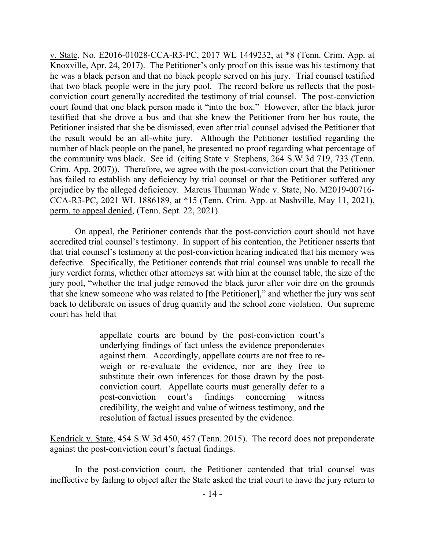v. State, No. E2016-01028-CCA-R3-PC, 2017 WL 1449232, at \*8 (Tenn. Crim. App. at Knoxville, Apr. 24, 2017). The Petitioner's only proof on this issue was his testimony that he was a black person and that no black people served on his jury. Trial counsel testified that two black people were in the jury pool. The record before us reflects that the postconviction court generally accredited the testimony of trial counsel. The post-conviction court found that one black person made it "into the box." However, after the black juror testified that she drove a bus and that she knew the Petitioner from her bus route, the Petitioner insisted that she be dismissed, even after trial counsel advised the Petitioner that the result would be an all-white jury. Although the Petitioner testified regarding the number of black people on the panel, he presented no proof regarding what percentage of the community was black. See id. (citing State v. Stephens, 264 S.W.3d 719, 733 (Tenn. Crim. App. 2007)). Therefore, we agree with the post-conviction court that the Petitioner has failed to establish any deficiency by trial counsel or that the Petitioner suffered any prejudice by the alleged deficiency. Marcus Thurman Wade v. State, No. M2019-00716- CCA-R3-PC, 2021 WL 1886189, at \*15 (Tenn. Crim. App. at Nashville, May 11, 2021), perm. to appeal denied, (Tenn. Sept. 22, 2021).

On appeal, the Petitioner contends that the post-conviction court should not have accredited trial counsel's testimony. In support of his contention, the Petitioner asserts that that trial counsel's testimony at the post-conviction hearing indicated that his memory was defective. Specifically, the Petitioner contends that trial counsel was unable to recall the jury verdict forms, whether other attorneys sat with him at the counsel table, the size of the jury pool, "whether the trial judge removed the black juror after voir dire on the grounds that she knew someone who was related to [the Petitioner]," and whether the jury was sent back to deliberate on issues of drug quantity and the school zone violation. Our supreme court has held that

> appellate courts are bound by the post-conviction court's underlying findings of fact unless the evidence preponderates against them. Accordingly, appellate courts are not free to reweigh or re-evaluate the evidence, nor are they free to substitute their own inferences for those drawn by the postconviction court. Appellate courts must generally defer to a post-conviction court's findings concerning witness credibility, the weight and value of witness testimony, and the resolution of factual issues presented by the evidence.

Kendrick v. State, 454 S.W.3d 450, 457 (Tenn. 2015). The record does not preponderate against the post-conviction court's factual findings.

In the post-conviction court, the Petitioner contended that trial counsel was ineffective by failing to object after the State asked the trial court to have the jury return to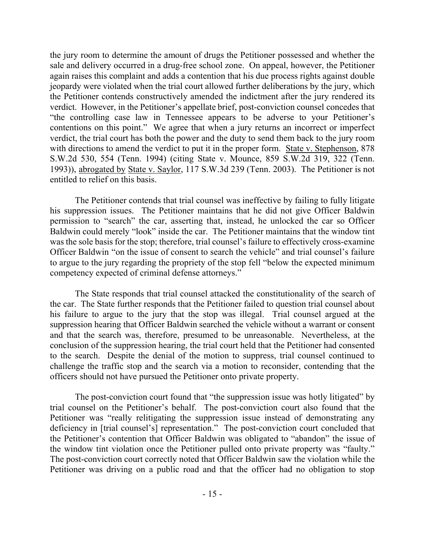the jury room to determine the amount of drugs the Petitioner possessed and whether the sale and delivery occurred in a drug-free school zone. On appeal, however, the Petitioner again raises this complaint and adds a contention that his due process rights against double jeopardy were violated when the trial court allowed further deliberations by the jury, which the Petitioner contends constructively amended the indictment after the jury rendered its verdict. However, in the Petitioner's appellate brief, post-conviction counsel concedes that "the controlling case law in Tennessee appears to be adverse to your Petitioner's contentions on this point." We agree that when a jury returns an incorrect or imperfect verdict, the trial court has both the power and the duty to send them back to the jury room with directions to amend the verdict to put it in the proper form. State v. Stephenson, 878 S.W.2d 530, 554 (Tenn. 1994) (citing State v. Mounce, 859 S.W.2d 319, 322 (Tenn. 1993)), abrogated by State v. Saylor, 117 S.W.3d 239 (Tenn. 2003). The Petitioner is not entitled to relief on this basis.

The Petitioner contends that trial counsel was ineffective by failing to fully litigate his suppression issues. The Petitioner maintains that he did not give Officer Baldwin permission to "search" the car, asserting that, instead, he unlocked the car so Officer Baldwin could merely "look" inside the car. The Petitioner maintains that the window tint was the sole basis for the stop; therefore, trial counsel's failure to effectively cross-examine Officer Baldwin "on the issue of consent to search the vehicle" and trial counsel's failure to argue to the jury regarding the propriety of the stop fell "below the expected minimum competency expected of criminal defense attorneys."

The State responds that trial counsel attacked the constitutionality of the search of the car. The State further responds that the Petitioner failed to question trial counsel about his failure to argue to the jury that the stop was illegal. Trial counsel argued at the suppression hearing that Officer Baldwin searched the vehicle without a warrant or consent and that the search was, therefore, presumed to be unreasonable. Nevertheless, at the conclusion of the suppression hearing, the trial court held that the Petitioner had consented to the search. Despite the denial of the motion to suppress, trial counsel continued to challenge the traffic stop and the search via a motion to reconsider, contending that the officers should not have pursued the Petitioner onto private property.

The post-conviction court found that "the suppression issue was hotly litigated" by trial counsel on the Petitioner's behalf. The post-conviction court also found that the Petitioner was "really relitigating the suppression issue instead of demonstrating any deficiency in [trial counsel's] representation." The post-conviction court concluded that the Petitioner's contention that Officer Baldwin was obligated to "abandon" the issue of the window tint violation once the Petitioner pulled onto private property was "faulty." The post-conviction court correctly noted that Officer Baldwin saw the violation while the Petitioner was driving on a public road and that the officer had no obligation to stop